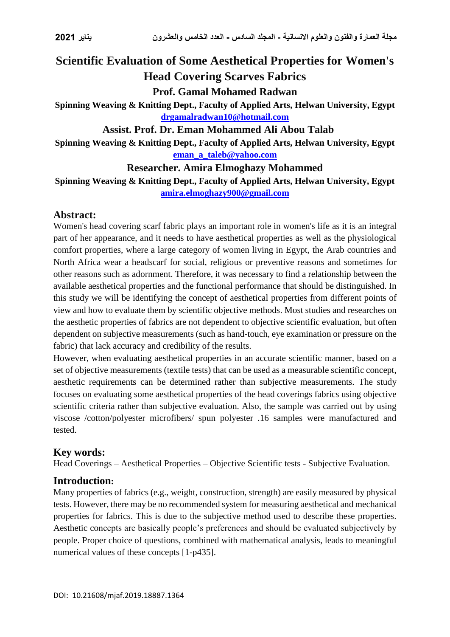# **Scientific Evaluation of Some Aesthetical Properties for Women's Head Covering Scarves Fabrics Prof. Gamal Mohamed Radwan**

**Spinning Weaving & Knitting Dept., Faculty of Applied Arts, Helwan University, Egypt [drgamalradwan10@hotmail.com](mailto:drgamalradwan10@hotmail.com)**

**Assist. Prof. Dr. Eman Mohammed Ali Abou Talab**

**Spinning Weaving & Knitting Dept., Faculty of Applied Arts, Helwan University, Egypt [eman\\_a\\_taleb@yahoo.com](mailto:eman_a_taleb@yahoo.com)**

#### **Researcher. Amira Elmoghazy Mohammed**

**Spinning Weaving & Knitting Dept., Faculty of Applied Arts, Helwan University, Egypt [amira.elmoghazy900@gmail.com](mailto:amira.elmoghazy900@gmail.com)**

#### **Abstract:**

Women's head covering scarf fabric plays an important role in women's life as it is an integral part of her appearance, and it needs to have aesthetical properties as well as the physiological comfort properties, where a large category of women living in Egypt, the Arab countries and North Africa wear a headscarf for social, religious or preventive reasons and sometimes for other reasons such as adornment. Therefore, it was necessary to find a relationship between the available aesthetical properties and the functional performance that should be distinguished. In this study we will be identifying the concept of aesthetical properties from different points of view and how to evaluate them by scientific objective methods. Most studies and researches on the aesthetic properties of fabrics are not dependent to objective scientific evaluation, but often dependent on subjective measurements (such as hand-touch, eye examination or pressure on the fabric) that lack accuracy and credibility of the results.

However, when evaluating aesthetical properties in an accurate scientific manner, based on a set of objective measurements (textile tests) that can be used as a measurable scientific concept, aesthetic requirements can be determined rather than subjective measurements. The study focuses on evaluating some aesthetical properties of the head coverings fabrics using objective scientific criteria rather than subjective evaluation. Also, the sample was carried out by using viscose /cotton/polyester microfibers/ spun polyester .16 samples were manufactured and tested.

#### **Key words:**

Head Coverings – Aesthetical Properties – Objective Scientific tests - Subjective Evaluation*.*

#### **Introduction:**

Many properties of fabrics (e.g., weight, construction, strength) are easily measured by physical tests. However, there may be no recommended system for measuring aesthetical and mechanical properties for fabrics. This is due to the subjective method used to describe these properties. Aesthetic concepts are basically people's preferences and should be evaluated subjectively by people. Proper choice of questions, combined with mathematical analysis, leads to meaningful numerical values of these concepts [1-p435].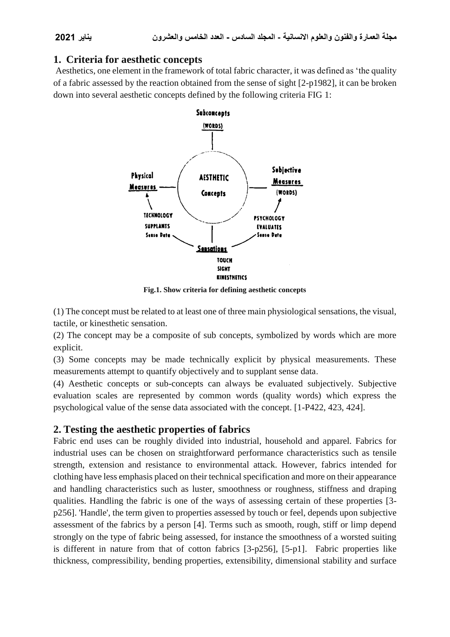### **1. Criteria for aesthetic concepts**

Aesthetics, one element in the framework of total fabric character, it was defined as 'the quality of a fabric assessed by the reaction obtained from the sense of sight [2-p1982], it can be broken down into several aesthetic concepts defined by the following criteria FIG 1:



**Fig.1. Show criteria for defining aesthetic concepts**

(1) The concept must be related to at least one of three main physiological sensations, the visual, tactile, or kinesthetic sensation.

(2) The concept may be a composite of sub concepts, symbolized by words which are more explicit.

(3) Some concepts may be made technically explicit by physical measurements. These measurements attempt to quantify objectively and to supplant sense data.

(4) Aesthetic concepts or sub-concepts can always be evaluated subjectively. Subjective evaluation scales are represented by common words (quality words) which express the psychological value of the sense data associated with the concept. [1-P422, 423, 424].

## **2. Testing the aesthetic properties of fabrics**

Fabric end uses can be roughly divided into industrial, household and apparel. Fabrics for industrial uses can be chosen on straightforward performance characteristics such as tensile strength, extension and resistance to environmental attack. However, fabrics intended for clothing have less emphasis placed on their technical specification and more on their appearance and handling characteristics such as luster, smoothness or roughness, stiffness and draping qualities. Handling the fabric is one of the ways of assessing certain of these properties [3 p256]. 'Handle', the term given to properties assessed by touch or feel, depends upon subjective assessment of the fabrics by a person [4]. Terms such as smooth, rough, stiff or limp depend strongly on the type of fabric being assessed, for instance the smoothness of a worsted suiting is different in nature from that of cotton fabrics [3-p256], [5-p1]. Fabric properties like thickness, compressibility, bending properties, extensibility, dimensional stability and surface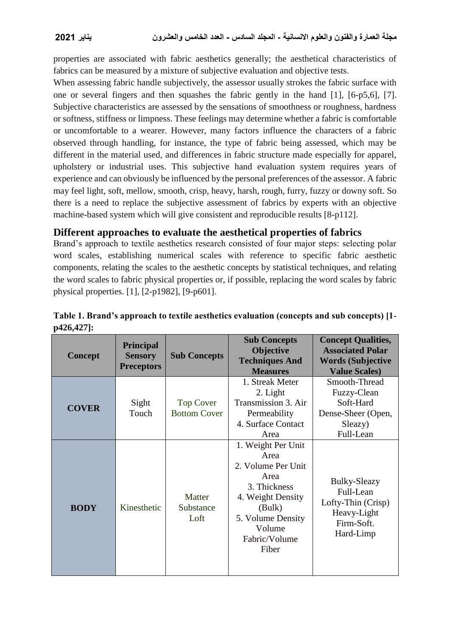properties are associated with fabric aesthetics generally; the aesthetical characteristics of fabrics can be measured by a mixture of subjective evaluation and objective tests.

When assessing fabric handle subjectively, the assessor usually strokes the fabric surface with one or several fingers and then squashes the fabric gently in the hand [1], [6-p5,6], [7]. Subjective characteristics are assessed by the sensations of smoothness or roughness, hardness or softness, stiffness or limpness. These feelings may determine whether a fabric is comfortable or uncomfortable to a wearer. However, many factors influence the characters of a fabric observed through handling, for instance, the type of fabric being assessed, which may be different in the material used, and differences in fabric structure made especially for apparel, upholstery or industrial uses. This subjective hand evaluation system requires years of experience and can obviously be influenced by the personal preferences of the assessor. A fabric may feel light, soft, mellow, smooth, crisp, heavy, harsh, rough, furry, fuzzy or downy soft. So there is a need to replace the subjective assessment of fabrics by experts with an objective machine-based system which will give consistent and reproducible results [8-p112].

#### **Different approaches to evaluate the aesthetical properties of fabrics**

Brand's approach to textile aesthetics research consisted of four major steps: selecting polar word scales, establishing numerical scales with reference to specific fabric aesthetic components, relating the scales to the aesthetic concepts by statistical techniques, and relating the word scales to fabric physical properties or, if possible, replacing the word scales by fabric physical properties. [1], [2-p1982], [9-p601].

| <b>Concept</b> | <b>Principal</b><br><b>Sensory</b><br><b>Preceptors</b> | <b>Sub Concepts</b>                     | <b>Sub Concepts</b><br><b>Objective</b><br><b>Techniques And</b><br><b>Measures</b>                                                                              | <b>Concept Qualities,</b><br><b>Associated Polar</b><br><b>Words (Subjective</b><br><b>Value Scales)</b> |
|----------------|---------------------------------------------------------|-----------------------------------------|------------------------------------------------------------------------------------------------------------------------------------------------------------------|----------------------------------------------------------------------------------------------------------|
| <b>COVER</b>   | Sight<br>Touch                                          | <b>Top Cover</b><br><b>Bottom Cover</b> | 1. Streak Meter<br>2. Light<br>Transmission 3. Air<br>Permeability<br>4. Surface Contact<br>Area                                                                 | Smooth-Thread<br>Fuzzy-Clean<br>Soft-Hard<br>Dense-Sheer (Open,<br>Sleazy)<br>Full-Lean                  |
| <b>BODY</b>    | Kinesthetic                                             | Matter<br>Substance<br>Loft             | 1. Weight Per Unit<br>Area<br>2. Volume Per Unit<br>Area<br>3. Thickness<br>4. Weight Density<br>(Bulk)<br>5. Volume Density<br>Volume<br>Fabric/Volume<br>Fiber | Bulky-Sleazy<br>Full-Lean<br>Lofty-Thin (Crisp)<br>Heavy-Light<br>Firm-Soft.<br>Hard-Limp                |

**Table 1. Brand's approach to textile aesthetics evaluation (concepts and sub concepts) [1 p426,427]:**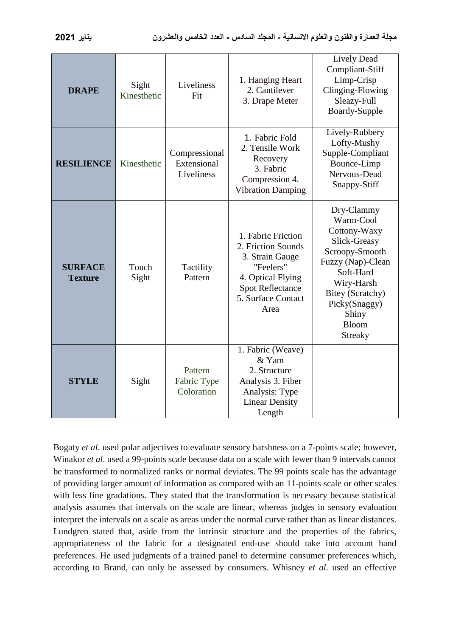| <b>DRAPE</b>                     | Sight<br>Kinesthetic | Liveliness<br>Fit                          | 1. Hanging Heart<br>2. Cantilever<br>3. Drape Meter                                                                                                    | <b>Lively Dead</b><br>Compliant-Stiff<br>Limp-Crisp<br>Clinging-Flowing<br>Sleazy-Full<br>Boardy-Supple                                                                                                   |
|----------------------------------|----------------------|--------------------------------------------|--------------------------------------------------------------------------------------------------------------------------------------------------------|-----------------------------------------------------------------------------------------------------------------------------------------------------------------------------------------------------------|
| <b>RESILIENCE</b>                | Kinesthetic          | Compressional<br>Extensional<br>Liveliness | 1. Fabric Fold<br>2. Tensile Work<br>Recovery<br>3. Fabric<br>Compression 4.<br><b>Vibration Damping</b>                                               | Lively-Rubbery<br>Lofty-Mushy<br>Supple-Compliant<br>Bounce-Limp<br>Nervous-Dead<br>Snappy-Stiff                                                                                                          |
| <b>SURFACE</b><br><b>Texture</b> | Touch<br>Sight       | Tactility<br>Pattern                       | 1. Fabric Friction<br>2. Friction Sounds<br>3. Strain Gauge<br>"Feelers"<br>4. Optical Flying<br><b>Spot Reflectance</b><br>5. Surface Contact<br>Area | Dry-Clammy<br>Warm-Cool<br>Cottony-Waxy<br>Slick-Greasy<br>Scroopy-Smooth<br>Fuzzy (Nap)-Clean<br>Soft-Hard<br>Wiry-Harsh<br>Bitey (Scratchy)<br>Picky(Snaggy)<br>Shiny<br><b>Bloom</b><br><b>Streaky</b> |
| <b>STYLE</b>                     | Sight                | Pattern<br>Fabric Type<br>Coloration       | 1. Fabric (Weave)<br>& Yam<br>2. Structure<br>Analysis 3. Fiber<br>Analysis: Type<br><b>Linear Density</b><br>Length                                   |                                                                                                                                                                                                           |

Bogaty *et al*. used polar adjectives to evaluate sensory harshness on a 7-points scale; however, Winakor *et al*. used a 99-points scale because data on a scale with fewer than 9 intervals cannot be transformed to normalized ranks or normal deviates. The 99 points scale has the advantage of providing larger amount of information as compared with an 11-points scale or other scales with less fine gradations. They stated that the transformation is necessary because statistical analysis assumes that intervals on the scale are linear, whereas judges in sensory evaluation interpret the intervals on a scale as areas under the normal curve rather than as linear distances. Lundgren stated that, aside from the intrinsic structure and the properties of the fabrics, appropriateness of the fabric for a designated end-use should take into account hand preferences. He used judgments of a trained panel to determine consumer preferences which, according to Brand, can only be assessed by consumers. Whisney *et al*. used an effective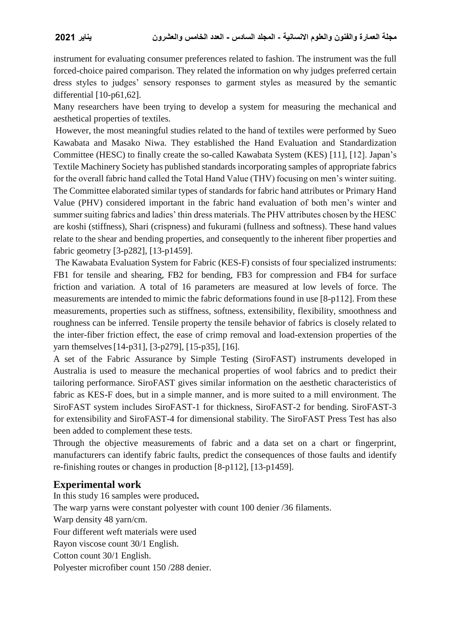instrument for evaluating consumer preferences related to fashion. The instrument was the full forced-choice paired comparison. They related the information on why judges preferred certain dress styles to judges' sensory responses to garment styles as measured by the semantic differential [10-p61,62].

Many researchers have been trying to develop a system for measuring the mechanical and aesthetical properties of textiles.

However, the most meaningful studies related to the hand of textiles were performed by Sueo Kawabata and Masako Niwa. They established the Hand Evaluation and Standardization Committee (HESC) to finally create the so-called Kawabata System (KES) [11], [12]. Japan's Textile Machinery Society has published standards incorporating samples of appropriate fabrics for the overall fabric hand called the Total Hand Value (THV) focusing on men's winter suiting. The Committee elaborated similar types of standards for fabric hand attributes or Primary Hand Value (PHV) considered important in the fabric hand evaluation of both men's winter and summer suiting fabrics and ladies' thin dress materials. The PHV attributes chosen by the HESC are koshi (stiffness), Shari (crispness) and fukurami (fullness and softness). These hand values relate to the shear and bending properties, and consequently to the inherent fiber properties and fabric geometry [3-p282], [13-p1459].

The Kawabata Evaluation System for Fabric (KES-F) consists of four specialized instruments: FB1 for tensile and shearing, FB2 for bending, FB3 for compression and FB4 for surface friction and variation. A total of 16 parameters are measured at low levels of force. The measurements are intended to mimic the fabric deformations found in use [8-p112]. From these measurements, properties such as stiffness, softness, extensibility, flexibility, smoothness and roughness can be inferred. Tensile property the tensile behavior of fabrics is closely related to the inter-fiber friction effect, the ease of crimp removal and load-extension properties of the yarn themselves[14-p31], [3-p279], [15-p35], [16].

A set of the Fabric Assurance by Simple Testing (SiroFAST) instruments developed in Australia is used to measure the mechanical properties of wool fabrics and to predict their tailoring performance. SiroFAST gives similar information on the aesthetic characteristics of fabric as KES-F does, but in a simple manner, and is more suited to a mill environment. The SiroFAST system includes SiroFAST-1 for thickness, SiroFAST-2 for bending. SiroFAST-3 for extensibility and SiroFAST-4 for dimensional stability. The SiroFAST Press Test has also been added to complement these tests.

Through the objective measurements of fabric and a data set on a chart or fingerprint, manufacturers can identify fabric faults, predict the consequences of those faults and identify re-finishing routes or changes in production [8-p112], [13-p1459].

## **Experimental work**

In this study 16 samples were produced**.** The warp yarns were constant polyester with count 100 denier /36 filaments. Warp density 48 yarn/cm. Four different weft materials were used Rayon viscose count 30/1 English. Cotton count 30/1 English. Polyester microfiber count 150 /288 denier.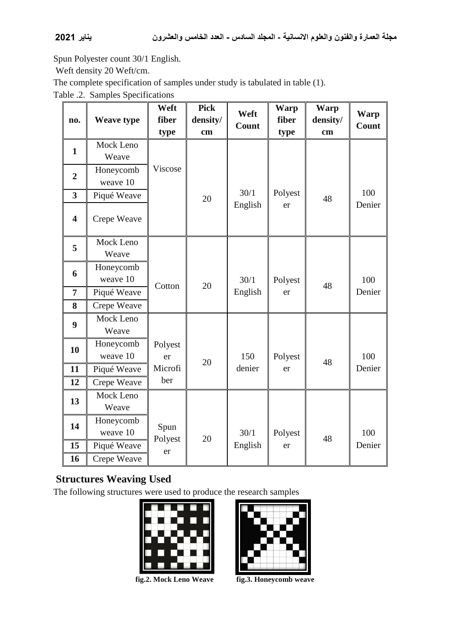Spun Polyester count 30/1 English.

Weft density 20 Weft/cm.

The complete specification of samples under study is tabulated in table (1).

Table .2. Samples Specifications

|                         |                   | Weft    | <b>Pick</b> | Weft    | <b>Warp</b> | <b>Warp</b> | <b>Warp</b> |
|-------------------------|-------------------|---------|-------------|---------|-------------|-------------|-------------|
| no.                     | <b>Weave type</b> | fiber   | density/    | Count   | fiber       | density/    | Count       |
|                         |                   | type    | cm          |         | type        | cm          |             |
| $\mathbf{1}$            | Mock Leno         |         |             |         |             |             |             |
|                         | Weave             |         |             |         |             |             |             |
| $\overline{2}$          | Honeycomb         | Viscose |             |         |             |             |             |
|                         | weave 10          |         |             |         |             |             |             |
| $\overline{\mathbf{3}}$ | Piqué Weave       |         | 20          | 30/1    | Polyest     | 48          | 100         |
|                         |                   |         |             | English | er          |             | Denier      |
| $\overline{\mathbf{4}}$ | Crepe Weave       |         |             |         |             |             |             |
|                         | Mock Leno         |         |             |         |             |             |             |
| 5                       | Weave             |         |             |         |             |             |             |
|                         | Honeycomb         |         |             |         |             |             |             |
| 6                       | weave 10          |         |             | 30/1    | Polyest     |             | 100         |
| 7                       | Piqué Weave       | Cotton  | 20          | English | er          | 48          | Denier      |
| 8                       | Crepe Weave       |         |             |         |             |             |             |
| $\boldsymbol{9}$        | Mock Leno         |         |             |         |             |             |             |
|                         | Weave             |         |             |         |             |             |             |
| 10                      | Honeycomb         | Polyest |             |         |             |             |             |
|                         | weave 10          | er      | 20          | 150     | Polyest     | 48          | 100         |
| 11                      | Piqué Weave       | Microfi |             | denier  | er          |             | Denier      |
| 12                      | Crepe Weave       | ber     |             |         |             |             |             |
| 13                      | Mock Leno         |         |             |         |             |             |             |
|                         | Weave             |         |             |         |             |             |             |
| 14                      | Honeycomb         | Spun    |             |         |             |             |             |
|                         | weave 10          | Polyest | 20          | 30/1    | Polyest     | 48          | 100         |
| 15                      | Piqué Weave       | er      |             | English | er          |             | Denier      |
| 16                      | Crepe Weave       |         |             |         |             |             |             |

## **Structures Weaving Used**

The following structures were used to produce the research samples

|    |                       |                | <b>The Second Second</b> | <b>THE 1</b> |  |
|----|-----------------------|----------------|--------------------------|--------------|--|
|    |                       |                |                          |              |  |
|    |                       |                | an ka                    | ▏            |  |
|    |                       |                |                          |              |  |
|    |                       | П              |                          |              |  |
| U. |                       | $\blacksquare$ | n.                       |              |  |
|    |                       |                |                          |              |  |
|    | <b>College Street</b> |                |                          |              |  |

**fig.2. Mock Leno Weave fig.3. Honeycomb weave**

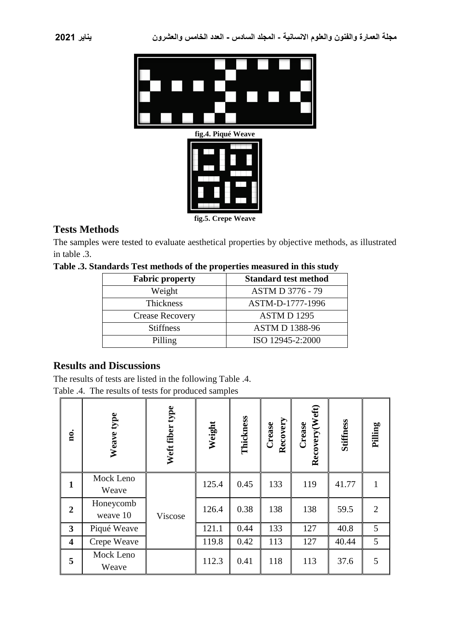

## **Tests Methods**

The samples were tested to evaluate aesthetical properties by objective methods, as illustrated in table .3.

**Table .3. Standards Test methods of the properties measured in this study**

| <b>Fabric property</b> | <b>Standard test method</b> |
|------------------------|-----------------------------|
| Weight                 | <b>ASTM D 3776 - 79</b>     |
| Thickness              | ASTM-D-1777-1996            |
| <b>Crease Recovery</b> | <b>ASTMD1295</b>            |
| <b>Stiffness</b>       | <b>ASTM D 1388-96</b>       |
| Pilling                | ISO 12945-2:2000            |

## **Results and Discussions**

The results of tests are listed in the following Table .4. Table .4. The results of tests for produced samples

| no.                     | Weave type            | Weft fiber type | Weight | Thickness | Recovery<br>Crease | Recovery (Weft)<br>Crease | <b>Stiffness</b> | Pilling        |
|-------------------------|-----------------------|-----------------|--------|-----------|--------------------|---------------------------|------------------|----------------|
| $\mathbf{1}$            | Mock Leno<br>Weave    |                 | 125.4  | 0.45      | 133                | 119                       | 41.77            | 1              |
| $\overline{2}$          | Honeycomb<br>weave 10 | Viscose         | 126.4  | 0.38      | 138                | 138                       | 59.5             | $\overline{2}$ |
| $\mathbf{3}$            | Piqué Weave           |                 | 121.1  | 0.44      | 133                | 127                       | 40.8             | 5              |
| $\overline{\mathbf{4}}$ | Crepe Weave           |                 | 119.8  | 0.42      | 113                | 127                       | 40.44            | 5              |
| 5                       | Mock Leno<br>Weave    |                 | 112.3  | 0.41      | 118                | 113                       | 37.6             | 5              |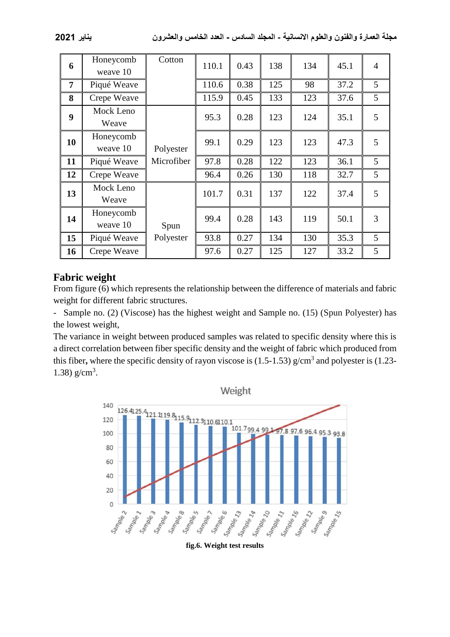| 6              | Honeycomb<br>weave 10 | Cotton     | 110.1 | 0.43 | 138 | 134 | 45.1 | $\overline{4}$ |
|----------------|-----------------------|------------|-------|------|-----|-----|------|----------------|
| $\overline{7}$ | Piqué Weave           |            | 110.6 | 0.38 | 125 | 98  | 37.2 | 5 <sup>5</sup> |
| 8              | Crepe Weave           |            | 115.9 | 0.45 | 133 | 123 | 37.6 | 5              |
| 9              | Mock Leno<br>Weave    |            | 95.3  | 0.28 | 123 | 124 | 35.1 | 5              |
| 10             | Honeycomb<br>weave 10 | Polyester  | 99.1  | 0.29 | 123 | 123 | 47.3 | 5              |
| 11             | Piqué Weave           | Microfiber | 97.8  | 0.28 | 122 | 123 | 36.1 | 5              |
| 12             | Crepe Weave           |            | 96.4  | 0.26 | 130 | 118 | 32.7 | 5              |
| 13             | Mock Leno<br>Weave    |            | 101.7 | 0.31 | 137 | 122 | 37.4 | 5              |
| 14             | Honeycomb<br>weave 10 | Spun       | 99.4  | 0.28 | 143 | 119 | 50.1 | 3              |
| 15             | Piqué Weave           | Polyester  | 93.8  | 0.27 | 134 | 130 | 35.3 | 5              |
| 16             | Crepe Weave           |            | 97.6  | 0.27 | 125 | 127 | 33.2 | 5              |

## **Fabric weight**

From figure (6) which represents the relationship between the difference of materials and fabric weight for different fabric structures.

- Sample no. (2) (Viscose) has the highest weight and Sample no. (15) (Spun Polyester) has the lowest weight,

The variance in weight between produced samples was related to specific density where this is a direct correlation between fiber specific density and the weight of fabric which produced from this fiber, where the specific density of rayon viscose is (1.5-1.53) g/cm<sup>3</sup> and polyester is (1.23-1.38)  $g/cm^3$ .

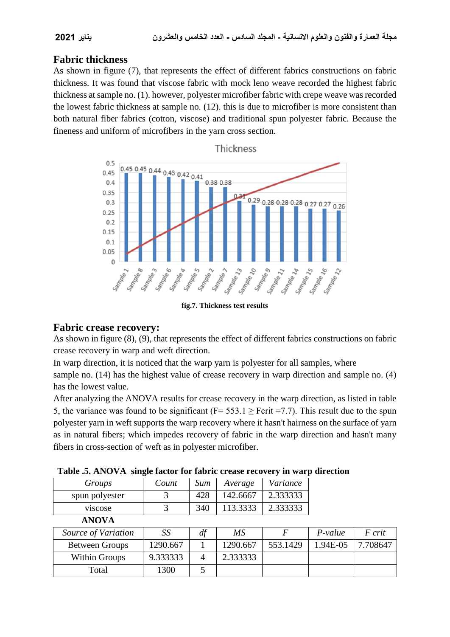## **Fabric thickness**

As shown in figure (7), that represents the effect of different fabrics constructions on fabric thickness. It was found that viscose fabric with mock leno weave recorded the highest fabric thickness at sample no. (1). however, polyester microfiber fabric with crepe weave was recorded the lowest fabric thickness at sample no. (12). this is due to microfiber is more consistent than both natural fiber fabrics (cotton, viscose) and traditional spun polyester fabric. Because the fineness and uniform of microfibers in the yarn cross section.



**fig.7. Thickness test results**

#### **Fabric crease recovery:**

As shown in figure (8), (9), that represents the effect of different fabrics constructions on fabric crease recovery in warp and weft direction.

In warp direction, it is noticed that the warp yarn is polyester for all samples, where

sample no. (14) has the highest value of crease recovery in warp direction and sample no. (4) has the lowest value.

After analyzing the ANOVA results for crease recovery in the warp direction, as listed in table 5, the variance was found to be significant (F=  $553.1 \ge$  Fcrit =7.7). This result due to the spun polyester yarn in weft supports the warp recovery where it hasn't hairness on the surface of yarn as in natural fibers; which impedes recovery of fabric in the warp direction and hasn't many fibers in cross-section of weft as in polyester microfiber.

| Groups                | Count    | Sum | Average  | Variance |           |          |
|-----------------------|----------|-----|----------|----------|-----------|----------|
| spun polyester        | 3        | 428 | 142.6667 | 2.333333 |           |          |
| viscose               | 3        | 340 | 113.3333 | 2.333333 |           |          |
| <b>ANOVA</b>          |          |     |          |          |           |          |
|                       |          |     |          |          |           |          |
| Source of Variation   | SS       | df  | MS       | F        | $P-value$ | F crit   |
| <b>Between Groups</b> | 1290.667 |     | 1290.667 | 553.1429 | 1.94E-05  | 7.708647 |
| <b>Within Groups</b>  | 9.333333 | 4   | 2.333333 |          |           |          |

| Table .5. ANOVA single factor for fabric crease recovery in warp direction |  |  |  |  |
|----------------------------------------------------------------------------|--|--|--|--|
|----------------------------------------------------------------------------|--|--|--|--|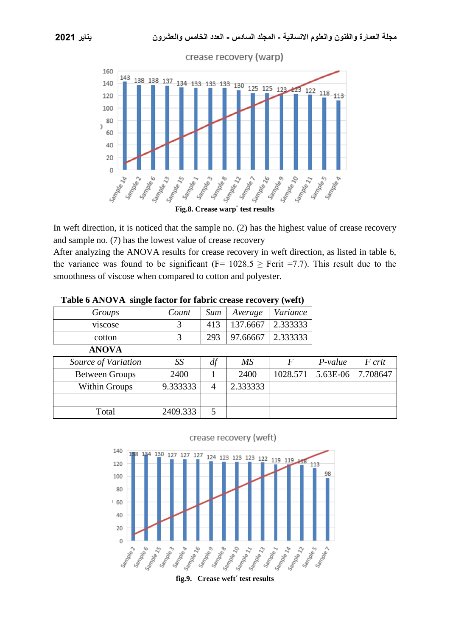

In weft direction, it is noticed that the sample no. (2) has the highest value of crease recovery and sample no. (7) has the lowest value of crease recovery

After analyzing the ANOVA results for crease recovery in weft direction, as listed in table 6, the variance was found to be significant (F=  $1028.5 \geq$  Fcrit =7.7). This result due to the smoothness of viscose when compared to cotton and polyester.

| Groups                | Count    | Sum            | Average  | Variance |           |          |
|-----------------------|----------|----------------|----------|----------|-----------|----------|
| viscose               | 3        | 413            | 137.6667 | 2.333333 |           |          |
| cotton                | 3        | 293            | 97.66667 | 2.333333 |           |          |
| <b>ANOVA</b>          |          |                |          |          |           |          |
| Source of Variation   | SS       | df             | MS       | F        | $P-value$ | F crit   |
| <b>Between Groups</b> | 2400     |                | 2400     | 1028.571 | 5.63E-06  | 7.708647 |
| Within Groups         | 9.333333 | $\overline{4}$ | 2.333333 |          |           |          |
|                       |          |                |          |          |           |          |
| Total                 | 2409.333 | 5              |          |          |           |          |

**Table 6 ANOVA single factor for fabric crease recovery (weft)**



**fig.9. Crease weft° test results**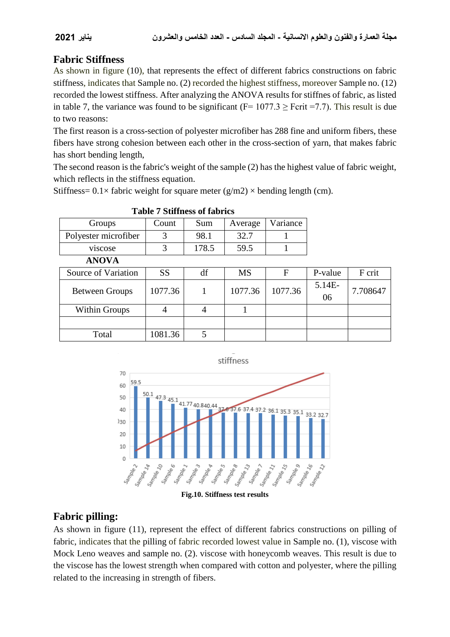## **Fabric Stiffness**

As shown in figure (10), that represents the effect of different fabrics constructions on fabric stiffness, indicates that Sample no. (2) recorded the highest stiffness, moreover Sample no. (12) recorded the lowest stiffness. After analyzing the ANOVA results for stiffnes of fabric, as listed in table 7, the variance was found to be significant ( $F= 1077.3 \geq F$ crit =7.7). This result is due to two reasons:

The first reason is a cross-section of polyester microfiber has 288 fine and uniform fibers, these fibers have strong cohesion between each other in the cross-section of yarn, that makes fabric has short bending length,

The second reason is the fabric's weight of the sample (2) has the highest value of fabric weight, which reflects in the stiffness equation.

Stiffness=  $0.1 \times$  fabric weight for square meter (g/m2)  $\times$  bending length (cm).

| Groups                | Count     | Sum            | Average   | Variance |              |          |
|-----------------------|-----------|----------------|-----------|----------|--------------|----------|
| Polyester microfiber  | 3         | 98.1           | 32.7      |          |              |          |
| viscose               | 3         | 178.5          | 59.5      |          |              |          |
| <b>ANOVA</b>          |           |                |           |          |              |          |
| Source of Variation   | <b>SS</b> | df             | <b>MS</b> | F        | P-value      | F crit   |
| <b>Between Groups</b> | 1077.36   |                | 1077.36   | 1077.36  | 5.14E-<br>06 | 7.708647 |
| <b>Within Groups</b>  | 4         | $\overline{4}$ |           |          |              |          |
|                       |           |                |           |          |              |          |
| Total                 | 1081.36   | 5              |           |          |              |          |

#### **Table 7 Stiffness of fabrics**



**Fig.10. Stiffness test results**

## **Fabric pilling:**

As shown in figure (11), represent the effect of different fabrics constructions on pilling of fabric, indicates that the pilling of fabric recorded lowest value in Sample no. (1), viscose with Mock Leno weaves and sample no. (2). viscose with honeycomb weaves. This result is due to the viscose has the lowest strength when compared with cotton and polyester, where the pilling related to the increasing in strength of fibers.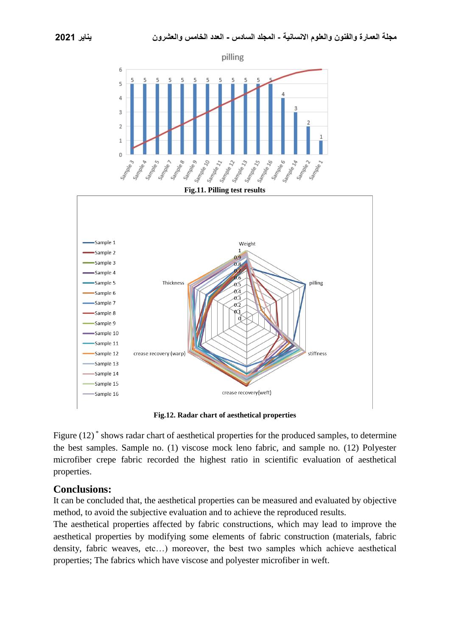



**Fig.12. Radar chart of aesthetical properties**

Figure (12)<sup>\*</sup> shows radar chart of aesthetical properties for the produced samples, to determine the best samples. Sample no. (1) viscose mock leno fabric, and sample no. (12) Polyester microfiber crepe fabric recorded the highest ratio in scientific evaluation of aesthetical properties.

#### **Conclusions:**

It can be concluded that, the aesthetical properties can be measured and evaluated by objective method, to avoid the subjective evaluation and to achieve the reproduced results.

The aesthetical properties affected by fabric constructions, which may lead to improve the aesthetical properties by modifying some elements of fabric construction (materials, fabric density, fabric weaves, etc…) moreover, the best two samples which achieve aesthetical properties; The fabrics which have viscose and polyester microfiber in weft.